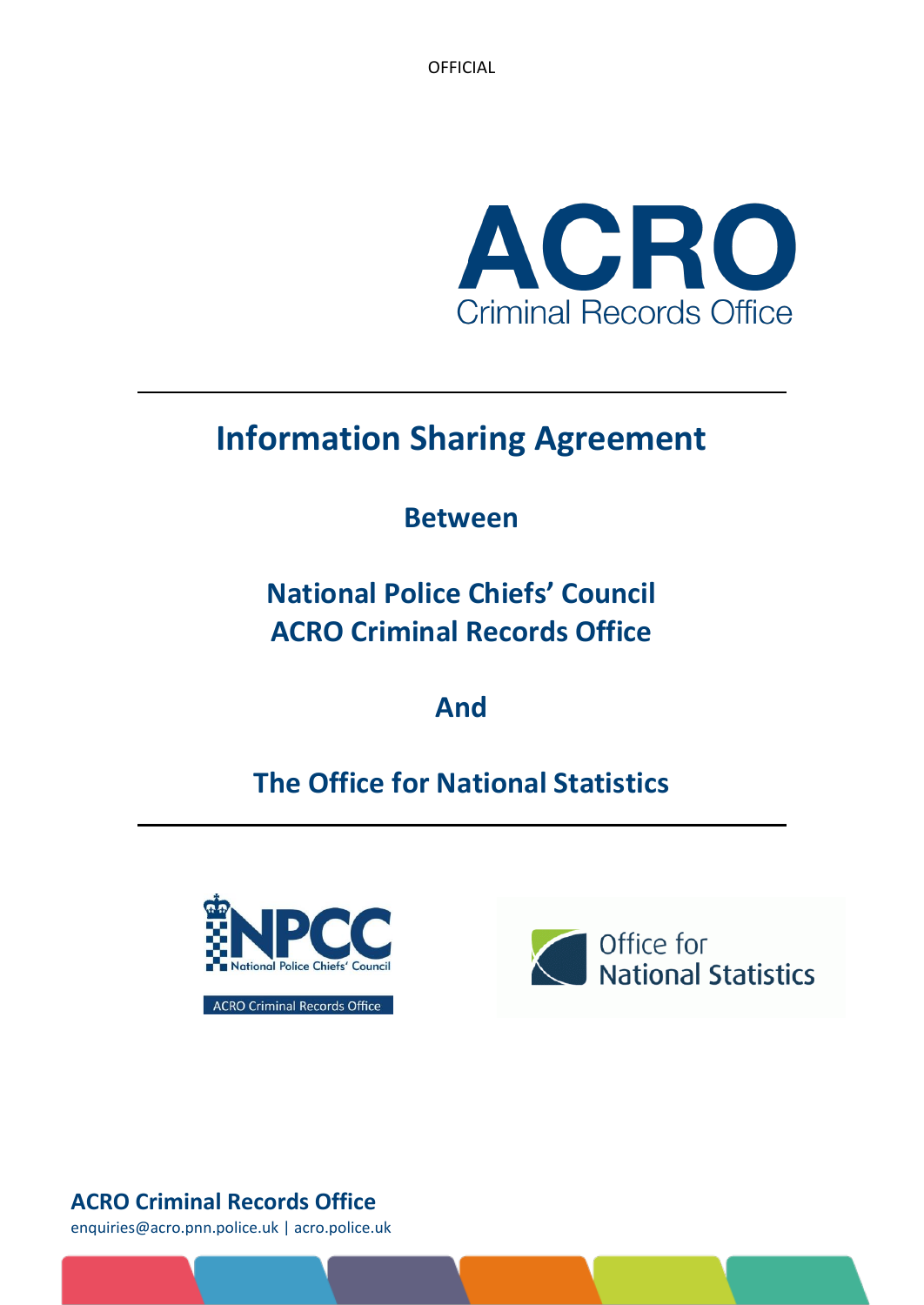**OFFICIAL** 



# **Information Sharing Agreement**

# **Between**

**National Police Chiefs' Council ACRO Criminal Records Office**

**And**

# **The Office for National Statistics**



**ACRO Criminal Records Office** 



# **ACRO Criminal Records Office**

enquiries@acro.pnn.police.uk | acro.police.uk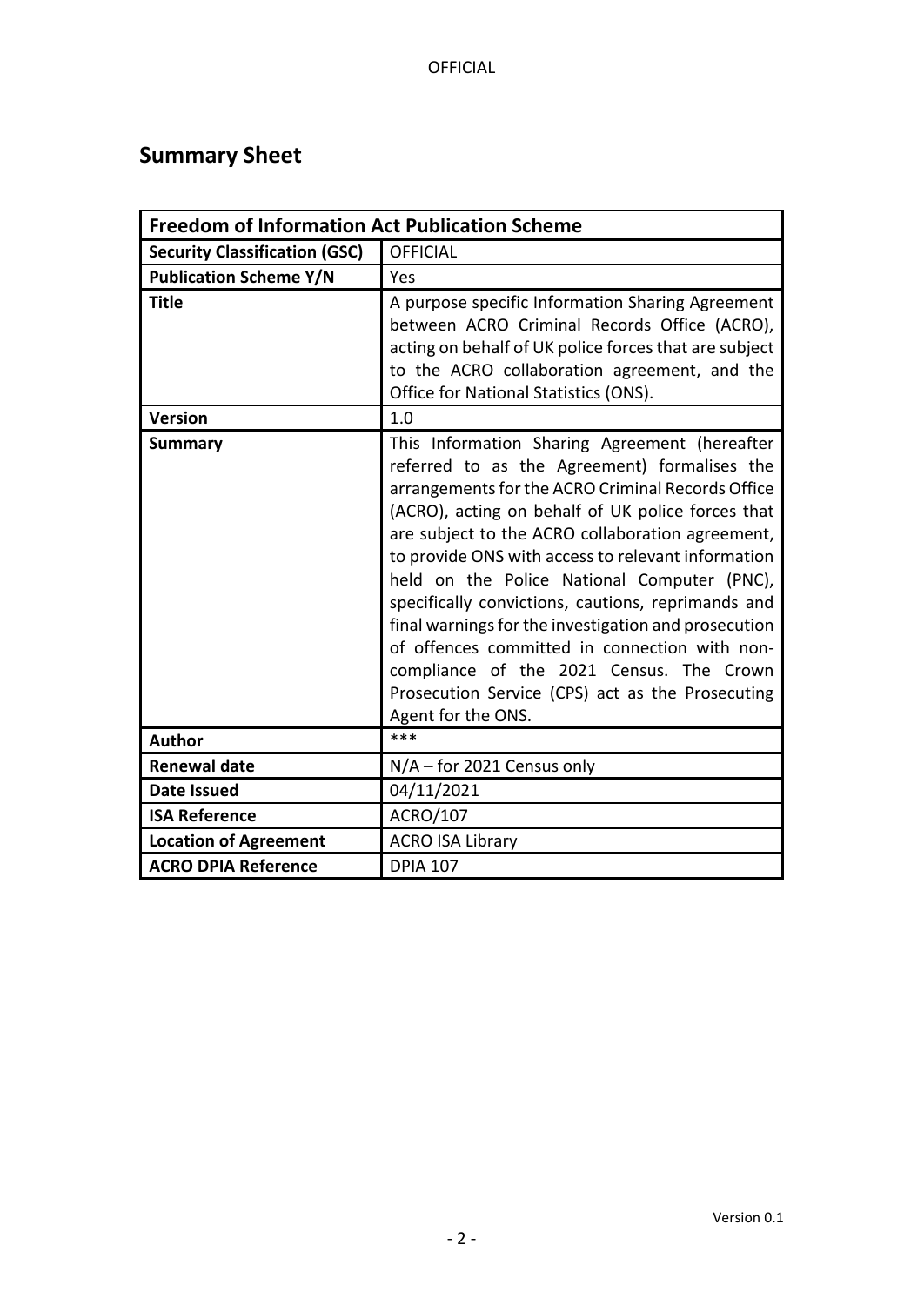# <span id="page-1-0"></span>**Summary Sheet**

| <b>Freedom of Information Act Publication Scheme</b> |                                                                                                                                                                                                                                                                                                                                                                                                                                                                                                                                                                                                                                                       |  |  |  |
|------------------------------------------------------|-------------------------------------------------------------------------------------------------------------------------------------------------------------------------------------------------------------------------------------------------------------------------------------------------------------------------------------------------------------------------------------------------------------------------------------------------------------------------------------------------------------------------------------------------------------------------------------------------------------------------------------------------------|--|--|--|
| <b>Security Classification (GSC)</b>                 | <b>OFFICIAL</b>                                                                                                                                                                                                                                                                                                                                                                                                                                                                                                                                                                                                                                       |  |  |  |
| <b>Publication Scheme Y/N</b>                        | Yes                                                                                                                                                                                                                                                                                                                                                                                                                                                                                                                                                                                                                                                   |  |  |  |
| <b>Title</b>                                         | A purpose specific Information Sharing Agreement<br>between ACRO Criminal Records Office (ACRO),<br>acting on behalf of UK police forces that are subject<br>to the ACRO collaboration agreement, and the<br>Office for National Statistics (ONS).                                                                                                                                                                                                                                                                                                                                                                                                    |  |  |  |
| <b>Version</b>                                       | 1.0                                                                                                                                                                                                                                                                                                                                                                                                                                                                                                                                                                                                                                                   |  |  |  |
| <b>Summary</b>                                       | This Information Sharing Agreement (hereafter<br>referred to as the Agreement) formalises the<br>arrangements for the ACRO Criminal Records Office<br>(ACRO), acting on behalf of UK police forces that<br>are subject to the ACRO collaboration agreement,<br>to provide ONS with access to relevant information<br>held on the Police National Computer (PNC),<br>specifically convictions, cautions, reprimands and<br>final warnings for the investigation and prosecution<br>of offences committed in connection with non-<br>compliance of the 2021 Census. The Crown<br>Prosecution Service (CPS) act as the Prosecuting<br>Agent for the ONS. |  |  |  |
| <b>Author</b>                                        | $***$                                                                                                                                                                                                                                                                                                                                                                                                                                                                                                                                                                                                                                                 |  |  |  |
| <b>Renewal date</b>                                  | $N/A$ – for 2021 Census only                                                                                                                                                                                                                                                                                                                                                                                                                                                                                                                                                                                                                          |  |  |  |
| <b>Date Issued</b>                                   | 04/11/2021                                                                                                                                                                                                                                                                                                                                                                                                                                                                                                                                                                                                                                            |  |  |  |
| <b>ISA Reference</b>                                 | ACRO/107                                                                                                                                                                                                                                                                                                                                                                                                                                                                                                                                                                                                                                              |  |  |  |
| <b>Location of Agreement</b>                         | <b>ACRO ISA Library</b>                                                                                                                                                                                                                                                                                                                                                                                                                                                                                                                                                                                                                               |  |  |  |
| <b>ACRO DPIA Reference</b>                           | <b>DPIA 107</b>                                                                                                                                                                                                                                                                                                                                                                                                                                                                                                                                                                                                                                       |  |  |  |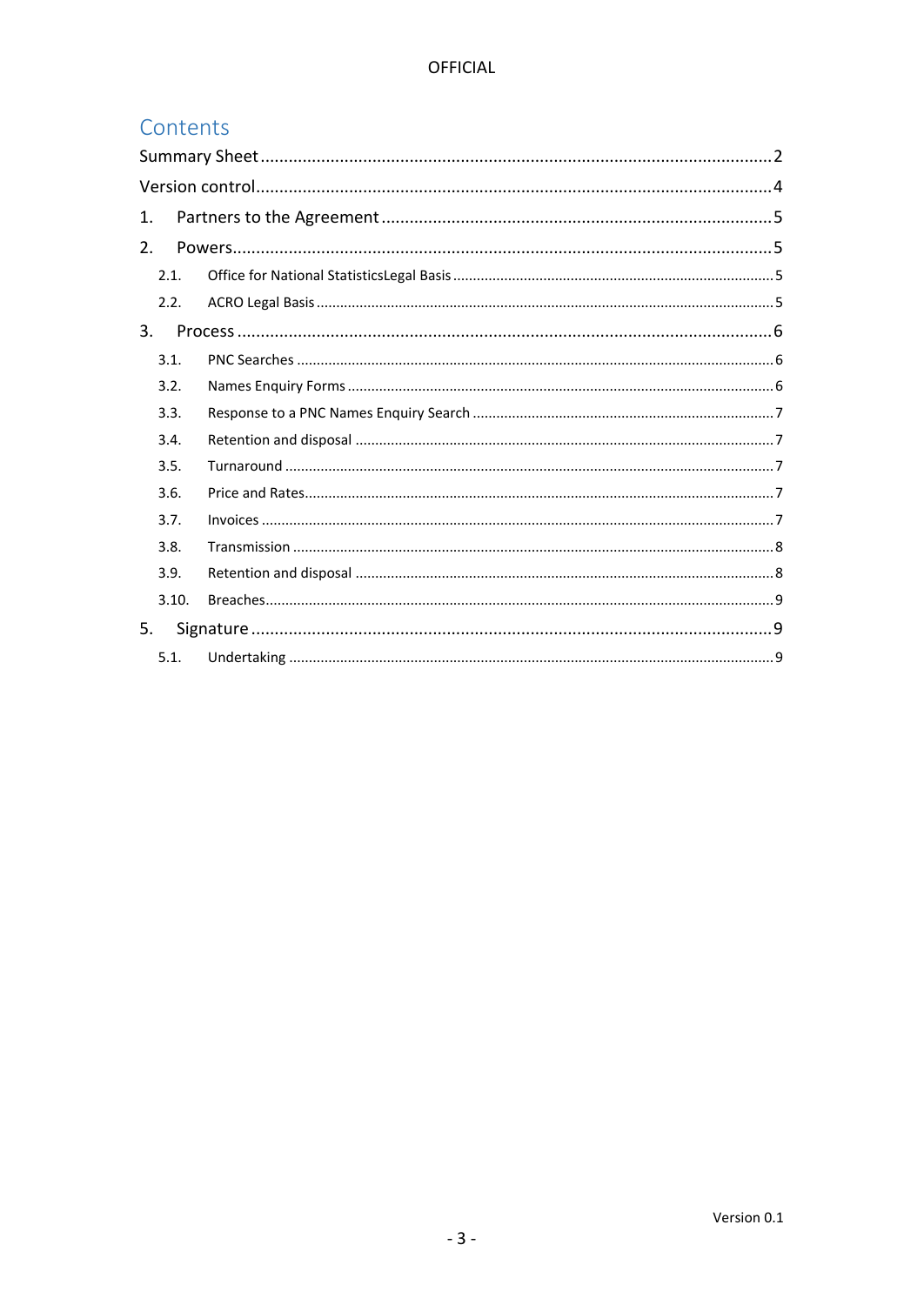## Contents

| 1.    |  |
|-------|--|
| 2.    |  |
| 2.1.  |  |
| 2.2.  |  |
| 3.    |  |
| 3.1.  |  |
| 3.2.  |  |
| 3.3.  |  |
| 3.4.  |  |
| 3.5.  |  |
| 3.6.  |  |
| 3.7.  |  |
| 3.8.  |  |
| 3.9.  |  |
| 3.10. |  |
| 5.    |  |
| 5.1.  |  |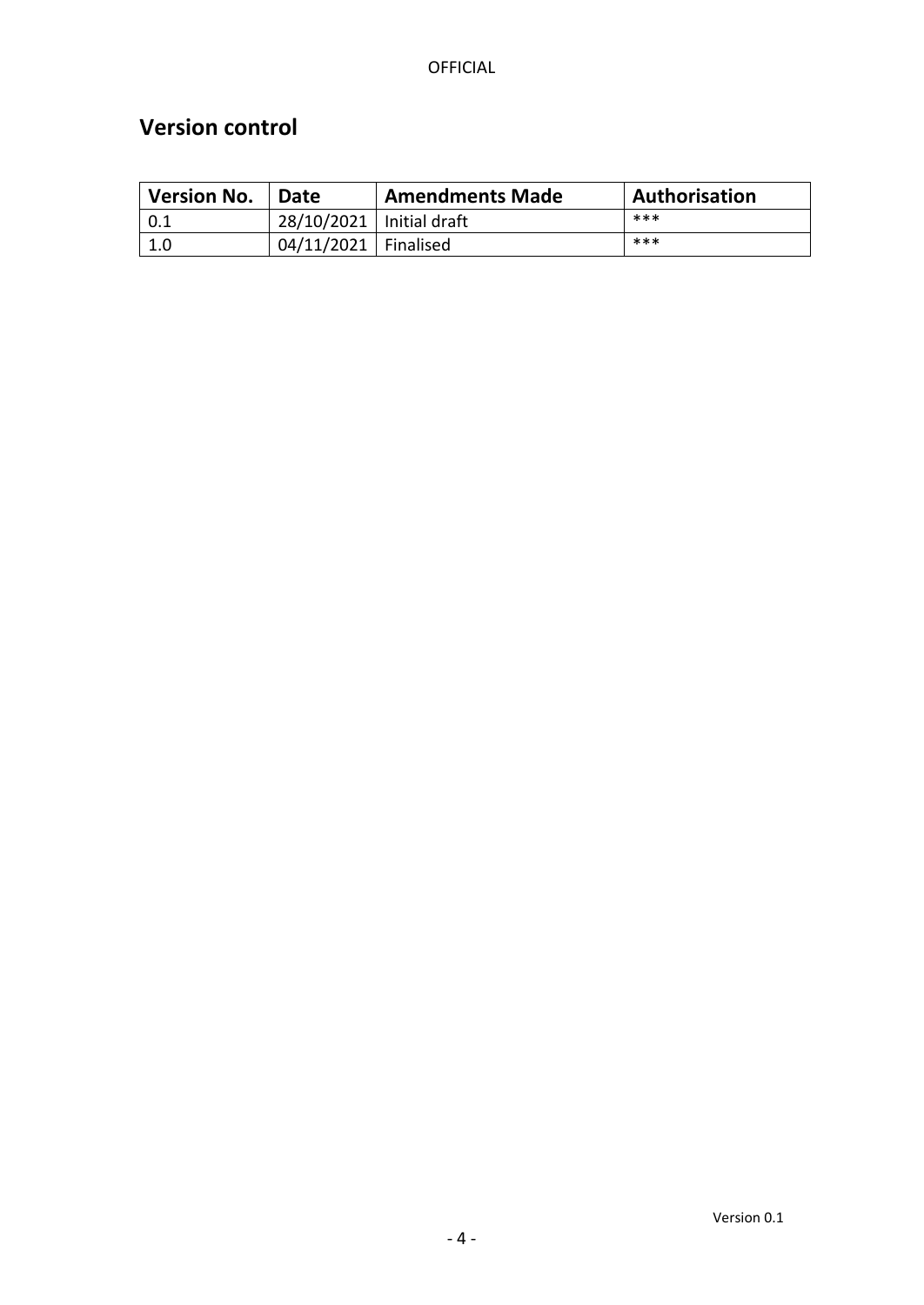# <span id="page-3-0"></span>**Version control**

| <b>Version No.</b> | <b>Date</b>                | <b>Amendments Made</b> | Authorisation |
|--------------------|----------------------------|------------------------|---------------|
|                    | 28/10/2021   Initial draft |                        | ***           |
| 1.0                | 04/11/2021   Finalised     |                        | ***           |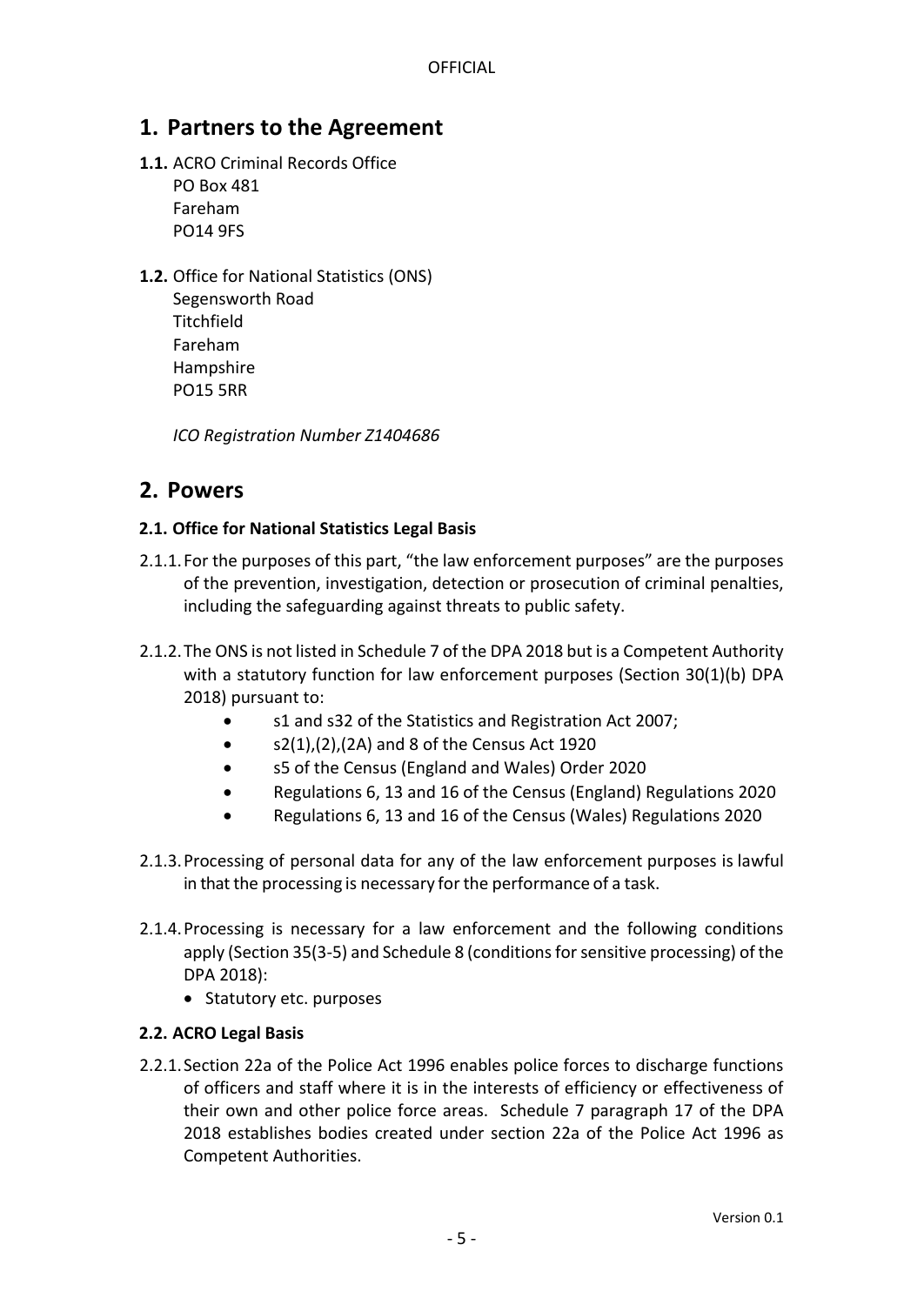## <span id="page-4-0"></span>**1. Partners to the Agreement**

**1.1.** ACRO Criminal Records Office PO Box 481

Fareham PO14 9FS

**1.2.** Office for National Statistics (ONS) Segensworth Road **Titchfield** Fareham

> Hampshire PO15 5RR

*ICO Registration Number Z1404686*

## <span id="page-4-1"></span>**2. Powers**

#### <span id="page-4-2"></span>**2.1. Office for National Statistics Legal Basis**

- 2.1.1.For the purposes of this part, "the law enforcement purposes" are the purposes of the prevention, investigation, detection or prosecution of criminal penalties, including the safeguarding against threats to public safety.
- 2.1.2.The ONS is not listed in Schedule 7 of the DPA 2018 but is a Competent Authority with a statutory function for law enforcement purposes (Section 30(1)(b) DPA 2018) pursuant to:
	- s1 and s32 of the Statistics and Registration Act 2007;
	- $\bullet$  s2(1),(2),(2A) and 8 of the Census Act 1920
	- s5 of the Census (England and Wales) Order 2020
	- Regulations 6, 13 and 16 of the Census (England) Regulations 2020
	- Regulations 6, 13 and 16 of the Census (Wales) Regulations 2020
- 2.1.3.Processing of personal data for any of the law enforcement purposes is lawful in that the processing is necessary for the performance of a task.
- 2.1.4.Processing is necessary for a law enforcement and the following conditions apply (Section 35(3-5) and Schedule 8 (conditions for sensitive processing) of the DPA 2018):
	- Statutory etc. purposes

#### <span id="page-4-3"></span>**2.2. ACRO Legal Basis**

2.2.1.Section 22a of the Police Act 1996 enables police forces to discharge functions of officers and staff where it is in the interests of efficiency or effectiveness of their own and other police force areas. Schedule 7 paragraph 17 of the DPA 2018 establishes bodies created under section 22a of the Police Act 1996 as Competent Authorities.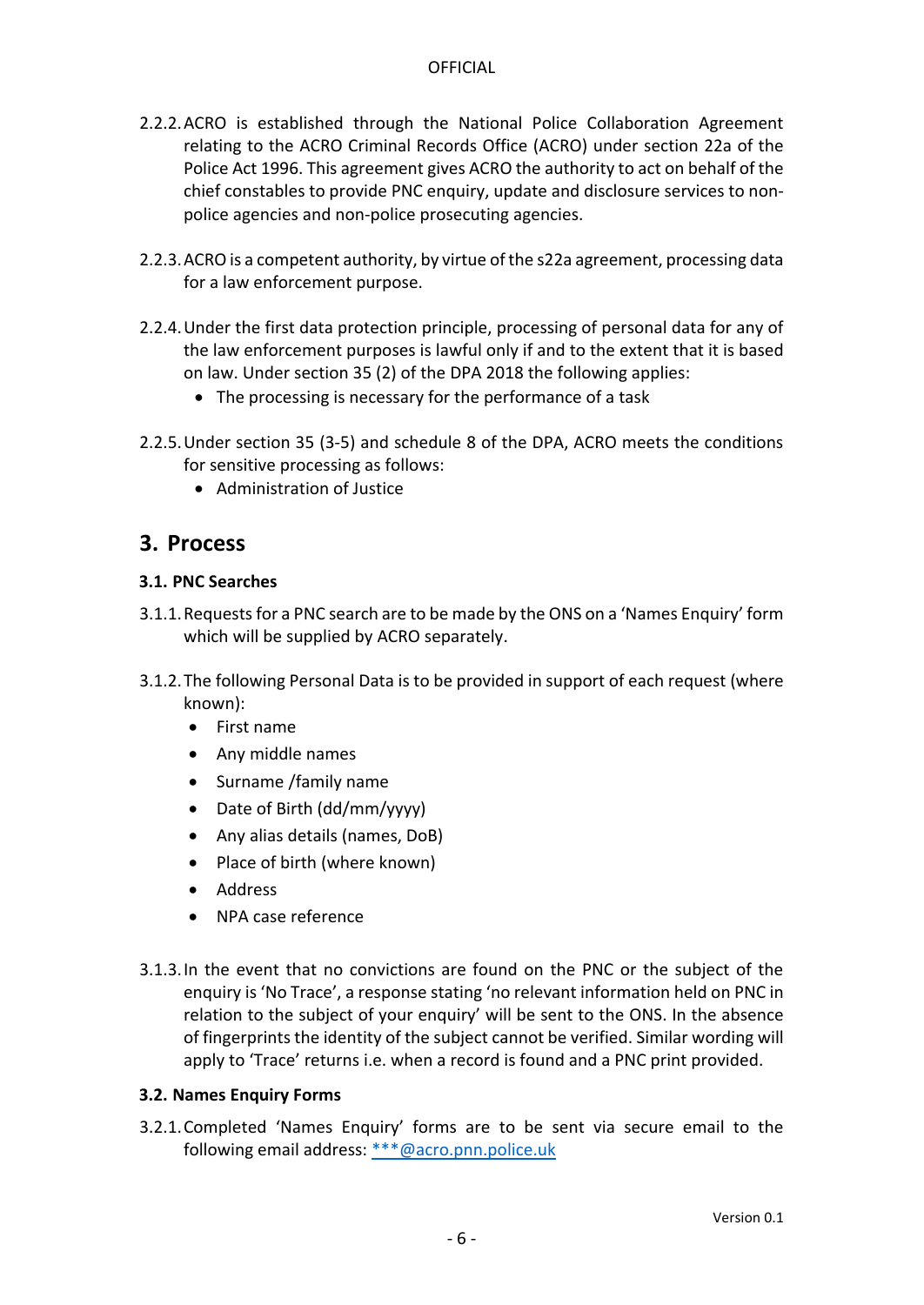- 2.2.2.ACRO is established through the National Police Collaboration Agreement relating to the ACRO Criminal Records Office (ACRO) under section 22a of the Police Act 1996. This agreement gives ACRO the authority to act on behalf of the chief constables to provide PNC enquiry, update and disclosure services to nonpolice agencies and non-police prosecuting agencies.
- 2.2.3.ACRO is a competent authority, by virtue of the s22a agreement, processing data for a law enforcement purpose.
- 2.2.4.Under the first data protection principle, processing of personal data for any of the law enforcement purposes is lawful only if and to the extent that it is based on law. Under section 35 (2) of the DPA 2018 the following applies:
	- The processing is necessary for the performance of a task
- 2.2.5.Under section 35 (3-5) and schedule 8 of the DPA, ACRO meets the conditions for sensitive processing as follows:
	- Administration of Justice

## <span id="page-5-0"></span>**3. Process**

#### <span id="page-5-1"></span>**3.1. PNC Searches**

- 3.1.1.Requests for a PNC search are to be made by the ONS on a 'Names Enquiry' form which will be supplied by ACRO separately.
- 3.1.2.The following Personal Data is to be provided in support of each request (where known):
	- First name
	- Any middle names
	- Surname /family name
	- Date of Birth (dd/mm/yyyy)
	- Any alias details (names, DoB)
	- Place of birth (where known)
	- Address
	- NPA case reference
- 3.1.3.In the event that no convictions are found on the PNC or the subject of the enquiry is 'No Trace', a response stating 'no relevant information held on PNC in relation to the subject of your enquiry' will be sent to the ONS. In the absence of fingerprints the identity of the subject cannot be verified. Similar wording will apply to 'Trace' returns i.e. when a record is found and a PNC print provided.

#### <span id="page-5-2"></span>**3.2. Names Enquiry Forms**

3.2.1.Completed 'Names Enquiry' forms are to be sent via secure email to the following email address: [\\*\\*\\*@acro.pnn.police.uk](mailto:***@acro.pnn.police.uk)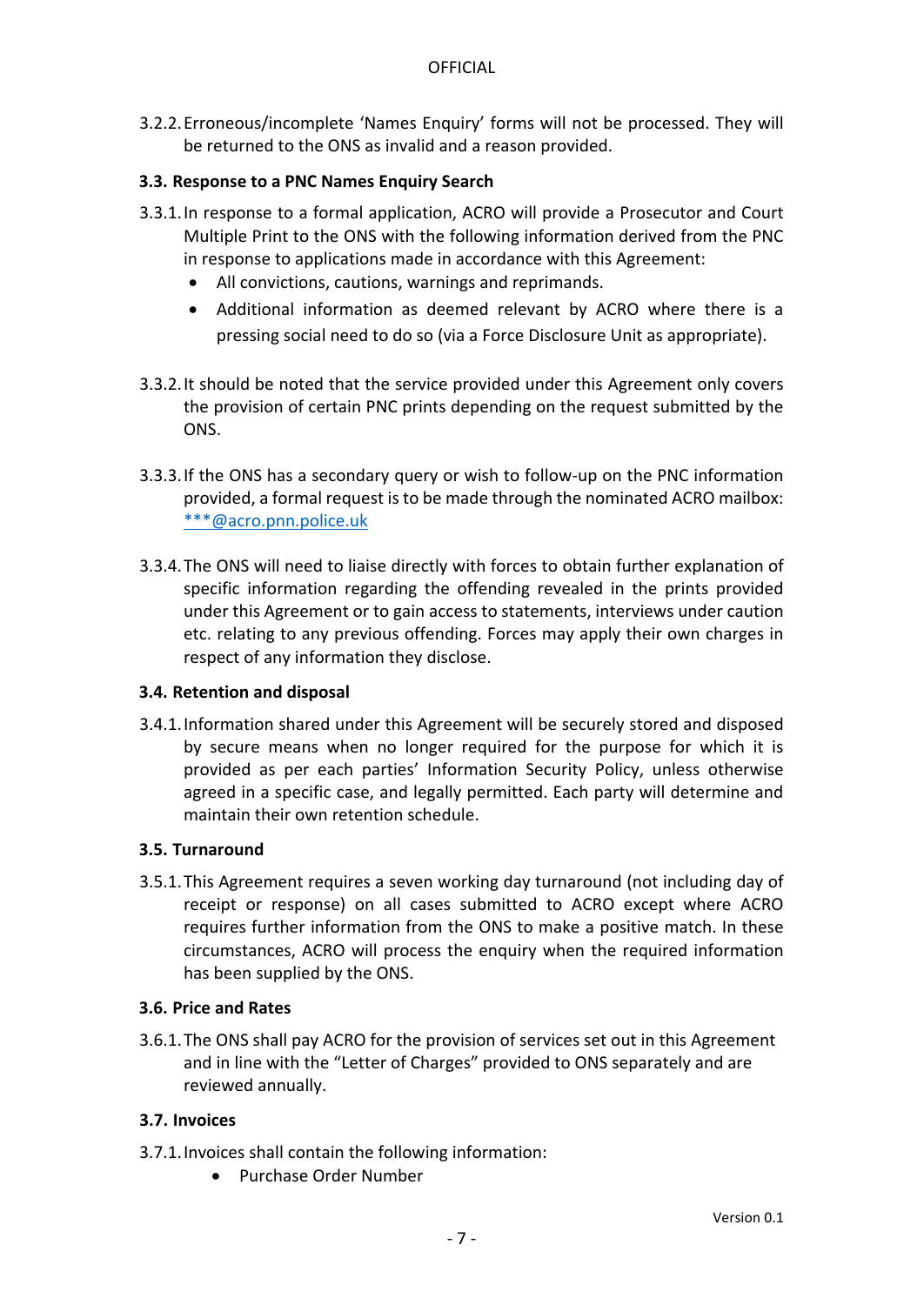3.2.2.Erroneous/incomplete 'Names Enquiry' forms will not be processed. They will be returned to the ONS as invalid and a reason provided.

#### <span id="page-6-0"></span>**3.3. Response to a PNC Names Enquiry Search**

- 3.3.1.In response to a formal application, ACRO will provide a Prosecutor and Court Multiple Print to the ONS with the following information derived from the PNC in response to applications made in accordance with this Agreement:
	- All convictions, cautions, warnings and reprimands.
	- Additional information as deemed relevant by ACRO where there is a pressing social need to do so (via a Force Disclosure Unit as appropriate).
- 3.3.2.It should be noted that the service provided under this Agreement only covers the provision of certain PNC prints depending on the request submitted by the ONS.
- 3.3.3.If the ONS has a secondary query or wish to follow-up on the PNC information provided, a formal request is to be made through the nominated ACRO mailbox: [\\*\\*\\*@acro.pnn.police.uk](mailto:***@acro.pnn.police.uk)
- 3.3.4.The ONS will need to liaise directly with forces to obtain further explanation of specific information regarding the offending revealed in the prints provided under this Agreement or to gain access to statements, interviews under caution etc. relating to any previous offending. Forces may apply their own charges in respect of any information they disclose.

#### <span id="page-6-1"></span>**3.4. Retention and disposal**

3.4.1.Information shared under this Agreement will be securely stored and disposed by secure means when no longer required for the purpose for which it is provided as per each parties' Information Security Policy, unless otherwise agreed in a specific case, and legally permitted. Each party will determine and maintain their own retention schedule.

#### <span id="page-6-2"></span>**3.5. Turnaround**

3.5.1.This Agreement requires a seven working day turnaround (not including day of receipt or response) on all cases submitted to ACRO except where ACRO requires further information from the ONS to make a positive match. In these circumstances, ACRO will process the enquiry when the required information has been supplied by the ONS.

#### <span id="page-6-3"></span>**3.6. Price and Rates**

3.6.1.The ONS shall pay ACRO for the provision of services set out in this Agreement and in line with the "Letter of Charges" provided to ONS separately and are reviewed annually.

#### <span id="page-6-4"></span>**3.7. Invoices**

- 3.7.1.Invoices shall contain the following information:
	- Purchase Order Number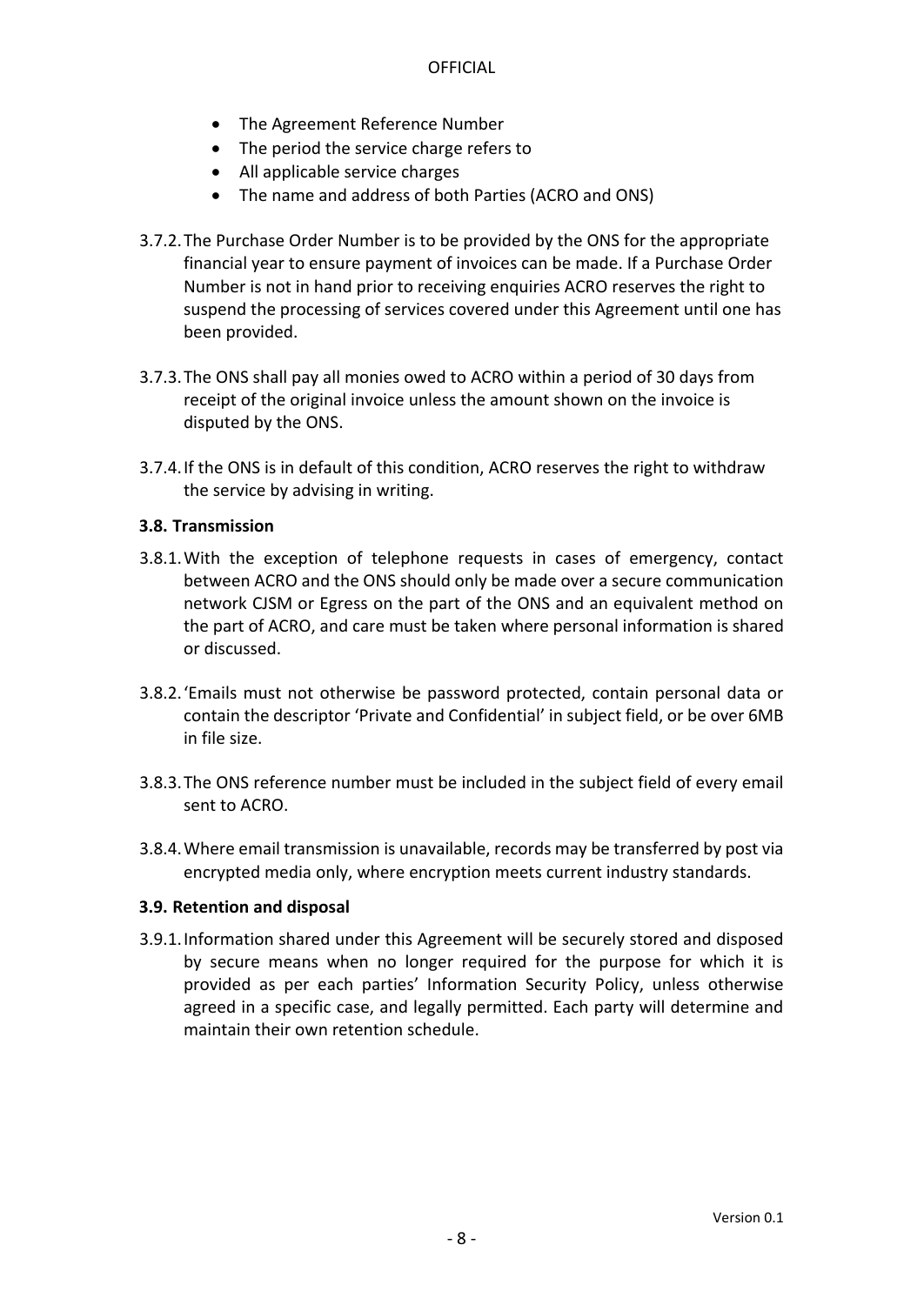- The Agreement Reference Number
- The period the service charge refers to
- All applicable service charges
- The name and address of both Parties (ACRO and ONS)
- 3.7.2.The Purchase Order Number is to be provided by the ONS for the appropriate financial year to ensure payment of invoices can be made. If a Purchase Order Number is not in hand prior to receiving enquiries ACRO reserves the right to suspend the processing of services covered under this Agreement until one has been provided.
- 3.7.3.The ONS shall pay all monies owed to ACRO within a period of 30 days from receipt of the original invoice unless the amount shown on the invoice is disputed by the ONS.
- 3.7.4.If the ONS is in default of this condition, ACRO reserves the right to withdraw the service by advising in writing.

#### <span id="page-7-0"></span>**3.8. Transmission**

- 3.8.1.With the exception of telephone requests in cases of emergency, contact between ACRO and the ONS should only be made over a secure communication network CJSM or Egress on the part of the ONS and an equivalent method on the part of ACRO, and care must be taken where personal information is shared or discussed.
- 3.8.2.'Emails must not otherwise be password protected, contain personal data or contain the descriptor 'Private and Confidential' in subject field, or be over 6MB in file size.
- 3.8.3.The ONS reference number must be included in the subject field of every email sent to ACRO.
- 3.8.4.Where email transmission is unavailable, records may be transferred by post via encrypted media only, where encryption meets current industry standards.

#### <span id="page-7-1"></span>**3.9. Retention and disposal**

3.9.1.Information shared under this Agreement will be securely stored and disposed by secure means when no longer required for the purpose for which it is provided as per each parties' Information Security Policy, unless otherwise agreed in a specific case, and legally permitted. Each party will determine and maintain their own retention schedule.